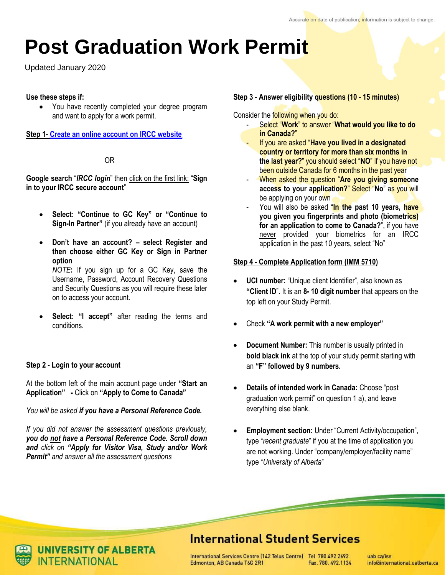# **Post Graduation Work Permit**

Updated January 2020

# **Use these steps if:**

 You have recently completed your degree program and want to apply for a work permit.

**Step 1- [Create an online account on IRCC website](https://www.canada.ca/en/immigration-refugees-citizenship/services/application/account.html)**

#### [OR](https://www.canada.ca/en/immigration-refugees-citizenship/services/application/account.html)

**[Google search](https://www.canada.ca/en/immigration-refugees-citizenship/services/application/account.html)** "*IRCC login*" then click on the first link: "**Sign in to your IRCC secure account**"

- **Select: "Continue to GC Key" or "Continue to Sign-In Partner"** (if you already have an account)
- **Don't have an account? – select Register and then choose either GC Key or Sign in Partner option** *NOTE***:** If you sign up for a GC Key, save the Username, Password, Account Recovery Questions and Security Questions as you will require these later on to access your account.
- **Select: "I accept"** after reading the terms and conditions.

# **Step 2 - Login to your account**

At the bottom left of the main account page under **"Start an Application" -** Click on **"Apply to Come to Canada"**

*You will be asked if you have a Personal Reference Code.* 

*If you did not answer the assessment questions previously, you do not have a Personal Reference Code. Scroll down and click on "Apply for Visitor Visa, Study and/or Work Permit" and answer all the assessment questions*

#### **Step 3 - Answer eligibility questions (10 - 15 minutes)**

Consider the following when you do:

- Select "**Work**" to answer "**What would you like to do in Canada?**"
- If you are asked "**Have you lived in a designated country or territory for more than six months in the last year?**" you should select "**NO**" if you have not been outside Canada for 6 months in the past year
- When asked the question "**Are you giving someone access to your application?**" Select "**No**" as you will be applying on your own
- You will also be asked "In the past 10 years, have **you given you fingerprints and photo (biometrics) for an application to come to Canada?**", if you have never provided your biometrics for an IRCC application in the past 10 years, select "No"

# **Step 4 - Complete Application form (IMM 5710)**

- **UCI number:** "Unique client Identifier", also known as **"Client ID**". It is an **8- 10 digit number** that appears on the top left on your Study Permit.
- Check **"A work permit with a new employer"**
- **Document Number:** This number is usually printed in **bold black ink** at the top of your study permit starting with an **"F" followed by 9 numbers.**
- **Details of intended work in Canada:** Choose "post graduation work permit" on question 1 a), and leave everything else blank.
- **Employment section:** Under "Current Activity/occupation", type "*recent graduate*" if you at the time of application you are not working. Under "company/employer/facility name" type "*University of Alberta*"

# **International Student Services**

International Services Centre (142 Telus Centre) Tel. 780.492.2692 Edmonton, AB Canada T6G 2R1 Fax. 780, 492, 1134

uab ca/iss info@international.ualberta.ca



**INIVERSITY OF ALBERTA INTERNATIONAL**